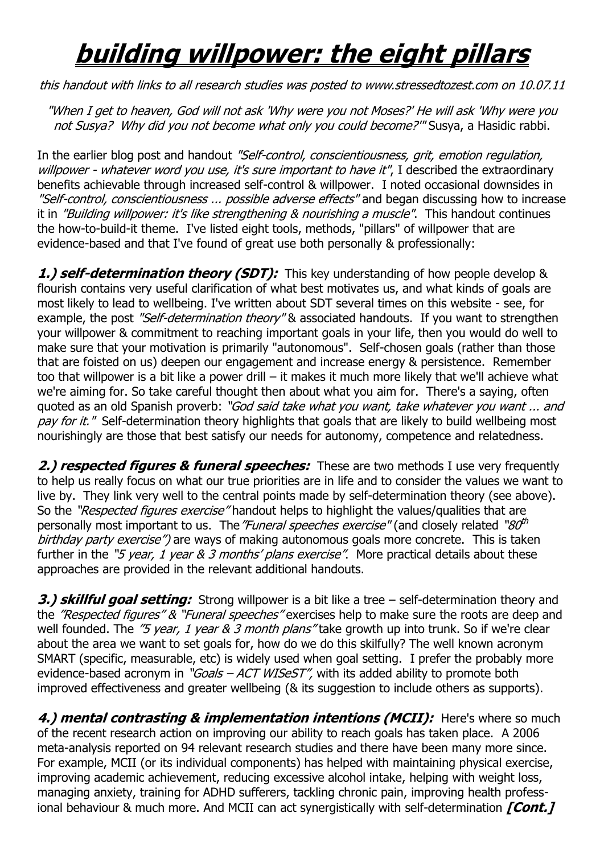## **building willpower: the eight pillars**

this handout with links to all research studies was posted to www.stressedtozest.com on 10.07.11

"When I get to heaven, God will not ask 'Why were you not Moses?' He will ask 'Why were you not Susya? Why did you not become what only you could become?" Susya, a Hasidic rabbi.

In the earlier blog post and handout "Self-control, conscientiousness, grit, emotion regulation, willpower - whatever word you use, it's sure important to have it", I described the extraordinary benefits achievable through increased self-control & willpower. I noted occasional downsides in "Self-control, conscientiousness ... possible adverse effects" and began discussing how to increase it in "Building willpower: it's like strengthening & nourishing a muscle". This handout continues the how-to-build-it theme. I've listed eight tools, methods, "pillars" of willpower that are evidence-based and that I've found of great use both personally & professionally:

**1.) self-determination theory (SDT):** This key understanding of how people develop & flourish contains very useful clarification of what best motivates us, and what kinds of goals are most likely to lead to wellbeing. I've written about SDT several times on this website - see, for example, the post "Self-determination theory" & associated handouts. If you want to strengthen your willpower & commitment to reaching important goals in your life, then you would do well to make sure that your motivation is primarily "autonomous". Self-chosen goals (rather than those that are foisted on us) deepen our engagement and increase energy & persistence. Remember too that willpower is a bit like a power drill – it makes it much more likely that we'll achieve what we're aiming for. So take careful thought then about what you aim for. There's a saying, often quoted as an old Spanish proverb: "God said take what you want, take whatever you want ... and pay for it." Self-determination theory highlights that goals that are likely to build wellbeing most nourishingly are those that best satisfy our needs for autonomy, competence and relatedness.

**2.) respected figures & funeral speeches:** These are two methods I use very frequently to help us really focus on what our true priorities are in life and to consider the values we want to live by. They link very well to the central points made by self-determination theory (see above). So the "Respected figures exercise" handout helps to highlight the values/qualities that are personally most important to us. The "Funeral speeches exercise" (and closely related "80<sup>th</sup> birthday party exercise") are ways of making autonomous goals more concrete. This is taken further in the "5 year, 1 year  $\&$  3 months' plans exercise". More practical details about these approaches are provided in the relevant additional handouts.

**3.) skillful goal setting:** Strong willpower is a bit like a tree – self-determination theory and the "Respected figures" & "Funeral speeches" exercises help to make sure the roots are deep and well founded. The  $\%$  year, 1 year & 3 month plans" take growth up into trunk. So if we're clear about the area we want to set goals for, how do we do this skilfully? The well known acronym SMART (specific, measurable, etc) is widely used when goal setting. I prefer the probably more evidence-based acronym in "Goals – ACT WISeST", with its added ability to promote both improved effectiveness and greater wellbeing (& its suggestion to include others as supports).

**4.) mental contrasting & implementation intentions (MCII):** Here's where so much of the recent research action on improving our ability to reach goals has taken place. A 2006 meta-analysis reported on 94 relevant research studies and there have been many more since. For example, MCII (or its individual components) has helped with maintaining physical exercise, improving academic achievement, reducing excessive alcohol intake, helping with weight loss, managing anxiety, training for ADHD sufferers, tackling chronic pain, improving health professional behaviour & much more. And MCII can act synergistically with self-determination **[Cont.]**